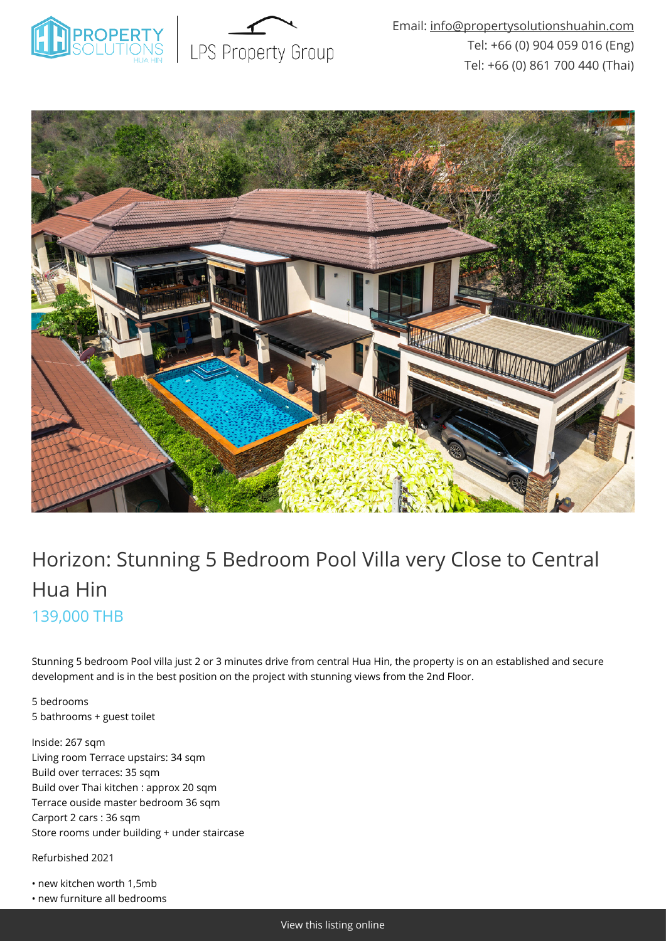



# Horizon: Stunning 5 Bedroom Pool Villa very Close to Central Hua Hin 139,000 THB

Stunning 5 bedroom Pool villa just 2 or 3 minutes drive from central Hua Hin, the property is on an established and secure development and is in the best position on the project with stunning views from the 2nd Floor.

5 bedrooms 5 bathrooms + guest toilet

Inside: 267 sqm Living room Terrace upstairs: 34 sqm Build over terraces: 35 sqm Build over Thai kitchen : approx 20 sqm Terrace ouside master bedroom 36 sqm Carport 2 cars : 36 sqm Store rooms under building + under staircase

Refurbished 2021

• new kitchen worth 1,5mb

• new furniture all bedrooms